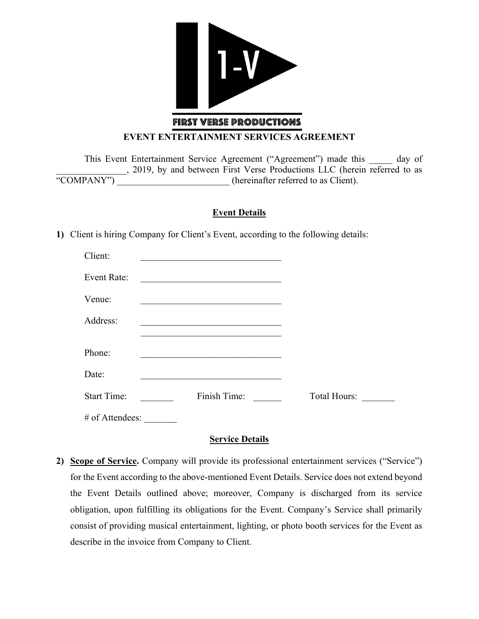

#### **EVENT ENTERTAINMENT SERVICES AGREEMENT**

This Event Entertainment Service Agreement ("Agreement") made this day of  $\frac{1}{2019}$ , by and between First Verse Productions LLC (herein referred to as  $\frac{1}{2019}$  (hereinafter referred to as Client). (hereinafter referred to as Client).

## **Event Details**

**1)** Client is hiring Company for Client's Event, according to the following details:

| Client:            |                                                                                                                       |                     |
|--------------------|-----------------------------------------------------------------------------------------------------------------------|---------------------|
| <b>Event Rate:</b> | <u> 1989 - Johann John Stone, markin film yn y brening yn y brening yn y brening yn y brening yn y brening yn y b</u> |                     |
| Venue:             |                                                                                                                       |                     |
| Address:           | the control of the control of the control of the control of the control of the control of                             |                     |
|                    |                                                                                                                       |                     |
| Phone:             |                                                                                                                       |                     |
| Date:              |                                                                                                                       |                     |
| <b>Start Time:</b> | Finish Time:                                                                                                          | <b>Total Hours:</b> |
| # of Attendees:    |                                                                                                                       |                     |

### **Service Details**

**2) Scope of Service.** Company will provide its professional entertainment services ("Service") for the Event according to the above-mentioned Event Details. Service does not extend beyond the Event Details outlined above; moreover, Company is discharged from its service obligation, upon fulfilling its obligations for the Event. Company's Service shall primarily consist of providing musical entertainment, lighting, or photo booth services for the Event as describe in the invoice from Company to Client.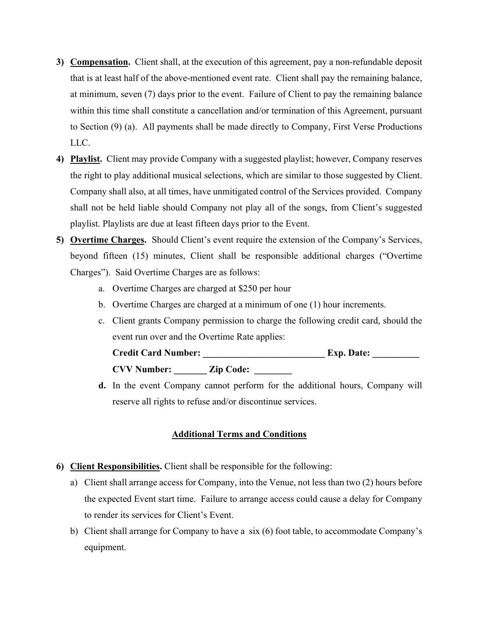- **3) Compensation.** Client shall, at the execution of this agreement, pay a non-refundable deposit that is at least half of the above-mentioned event rate. Client shall pay the remaining balance, at minimum, seven (7) days prior to the event. Failure of Client to pay the remaining balance within this time shall constitute a cancellation and/or termination of this Agreement, pursuant to Section (9) (a). All payments shall be made directly to Company, First Verse Productions LLC.
- **4) Playlist.** Client may provide Company with a suggested playlist; however, Company reserves the right to play additional musical selections, which are similar to those suggested by Client. Company shall also, at all times, have unmitigated control of the Services provided. Company shall not be held liable should Company not play all of the songs, from Client's suggested playlist. Playlists are due at least fifteen days prior to the Event.
- **5) Overtime Charges.** Should Client's event require the extension of the Company's Services, beyond fifteen (15) minutes, Client shall be responsible additional charges ("Overtime Charges"). Said Overtime Charges are as follows:
	- a. Overtime Charges are charged at \$250 per hour
	- b. Overtime Charges are charged at a minimum of one (1) hour increments.
	- c. Client grants Company permission to charge the following credit card, should the event run over and the Overtime Rate applies:

| <b>Credit Card Number:</b> |                  | <b>Exp. Date:</b> |
|----------------------------|------------------|-------------------|
| <b>CVV Number:</b>         | <b>Zip Code:</b> |                   |

**d.** In the event Company cannot perform for the additional hours, Company will reserve all rights to refuse and/or discontinue services.

# **Additional Terms and Conditions**

- **6) Client Responsibilities.** Client shall be responsible for the following:
	- a) Client shall arrange access for Company, into the Venue, not less than two (2) hours before the expected Event start time. Failure to arrange access could cause a delay for Company to render its services for Client's Event.
	- b) Client shall arrange for Company to have a six (6) foot table, to accommodate Company's equipment.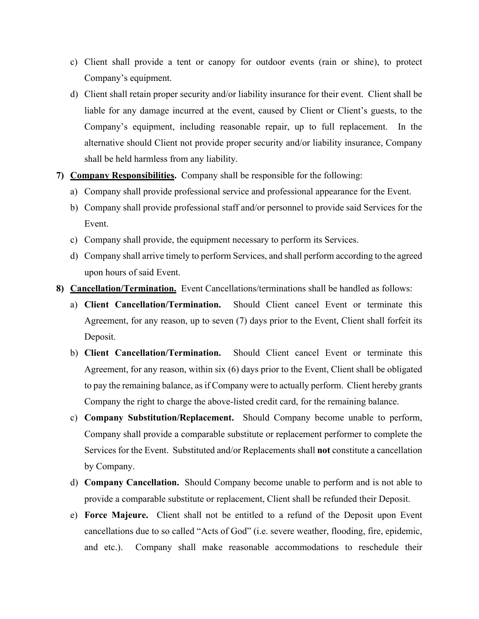- c) Client shall provide a tent or canopy for outdoor events (rain or shine), to protect Company's equipment.
- d) Client shall retain proper security and/or liability insurance for their event. Client shall be liable for any damage incurred at the event, caused by Client or Client's guests, to the Company's equipment, including reasonable repair, up to full replacement. In the alternative should Client not provide proper security and/or liability insurance, Company shall be held harmless from any liability.
- **7) Company Responsibilities.** Company shall be responsible for the following:
	- a) Company shall provide professional service and professional appearance for the Event.
	- b) Company shall provide professional staff and/or personnel to provide said Services for the Event.
	- c) Company shall provide, the equipment necessary to perform its Services.
	- d) Company shall arrive timely to perform Services, and shall perform according to the agreed upon hours of said Event.
- **8) Cancellation/Termination.** Event Cancellations/terminations shall be handled as follows:
	- a) **Client Cancellation/Termination.** Should Client cancel Event or terminate this Agreement, for any reason, up to seven (7) days prior to the Event, Client shall forfeit its Deposit.
	- b) **Client Cancellation/Termination.** Should Client cancel Event or terminate this Agreement, for any reason, within six (6) days prior to the Event, Client shall be obligated to pay the remaining balance, as if Company were to actually perform. Client hereby grants Company the right to charge the above-listed credit card, for the remaining balance.
	- c) **Company Substitution/Replacement.** Should Company become unable to perform, Company shall provide a comparable substitute or replacement performer to complete the Services for the Event. Substituted and/or Replacements shall **not** constitute a cancellation by Company.
	- d) **Company Cancellation.** Should Company become unable to perform and is not able to provide a comparable substitute or replacement, Client shall be refunded their Deposit.
	- e) **Force Majeure.** Client shall not be entitled to a refund of the Deposit upon Event cancellations due to so called "Acts of God" (i.e. severe weather, flooding, fire, epidemic, and etc.). Company shall make reasonable accommodations to reschedule their